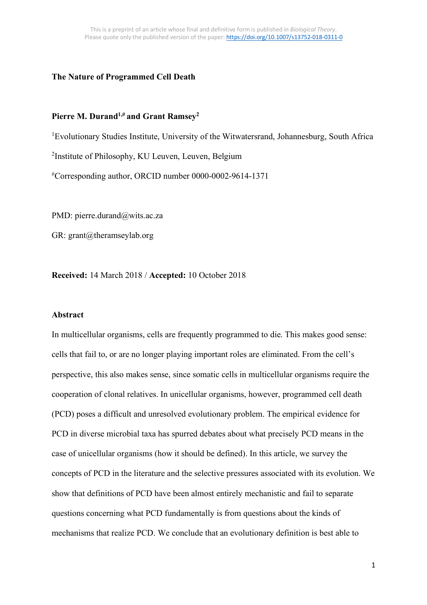### **The Nature of Programmed Cell Death**

# Pierre M. Durand<sup>1,#</sup> and Grant Ramsey<sup>2</sup>

<sup>1</sup>Evolutionary Studies Institute, University of the Witwatersrand, Johannesburg, South Africa 2 Institute of Philosophy, KU Leuven, Leuven, Belgium # Corresponding author, ORCID number 0000-0002-9614-1371

PMD: pierre.durand@wits.ac.za

GR: grant@theramseylab.org

**Received:** 14 March 2018 / **Accepted:** 10 October 2018

### **Abstract**

In multicellular organisms, cells are frequently programmed to die. This makes good sense: cells that fail to, or are no longer playing important roles are eliminated. From the cell's perspective, this also makes sense, since somatic cells in multicellular organisms require the cooperation of clonal relatives. In unicellular organisms, however, programmed cell death (PCD) poses a difficult and unresolved evolutionary problem. The empirical evidence for PCD in diverse microbial taxa has spurred debates about what precisely PCD means in the case of unicellular organisms (how it should be defined). In this article, we survey the concepts of PCD in the literature and the selective pressures associated with its evolution. We show that definitions of PCD have been almost entirely mechanistic and fail to separate questions concerning what PCD fundamentally is from questions about the kinds of mechanisms that realize PCD. We conclude that an evolutionary definition is best able to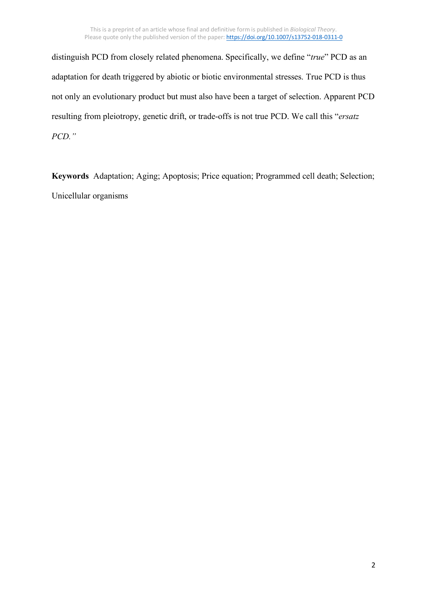distinguish PCD from closely related phenomena. Specifically, we define "*true*" PCD as an adaptation for death triggered by abiotic or biotic environmental stresses. True PCD is thus not only an evolutionary product but must also have been a target of selection. Apparent PCD resulting from pleiotropy, genetic drift, or trade-offs is not true PCD. We call this "*ersatz PCD."*

**Keywords** Adaptation; Aging; Apoptosis; Price equation; Programmed cell death; Selection; Unicellular organisms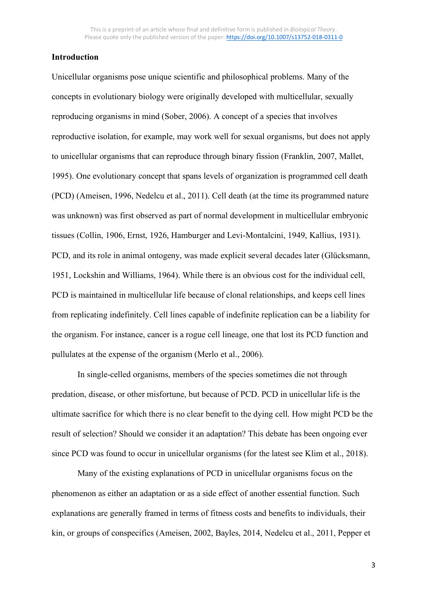### **Introduction**

Unicellular organisms pose unique scientific and philosophical problems. Many of the concepts in evolutionary biology were originally developed with multicellular, sexually reproducing organisms in mind (Sober, 2006). A concept of a species that involves reproductive isolation, for example, may work well for sexual organisms, but does not apply to unicellular organisms that can reproduce through binary fission (Franklin, 2007, Mallet, 1995). One evolutionary concept that spans levels of organization is programmed cell death (PCD) (Ameisen, 1996, Nedelcu et al., 2011). Cell death (at the time its programmed nature was unknown) was first observed as part of normal development in multicellular embryonic tissues (Collin, 1906, Ernst, 1926, Hamburger and Levi-Montalcini, 1949, Kallius, 1931). PCD, and its role in animal ontogeny, was made explicit several decades later (Glücksmann, 1951, Lockshin and Williams, 1964). While there is an obvious cost for the individual cell, PCD is maintained in multicellular life because of clonal relationships, and keeps cell lines from replicating indefinitely. Cell lines capable of indefinite replication can be a liability for the organism. For instance, cancer is a rogue cell lineage, one that lost its PCD function and pullulates at the expense of the organism (Merlo et al., 2006).

In single-celled organisms, members of the species sometimes die not through predation, disease, or other misfortune, but because of PCD. PCD in unicellular life is the ultimate sacrifice for which there is no clear benefit to the dying cell. How might PCD be the result of selection? Should we consider it an adaptation? This debate has been ongoing ever since PCD was found to occur in unicellular organisms (for the latest see Klim et al., 2018).

Many of the existing explanations of PCD in unicellular organisms focus on the phenomenon as either an adaptation or as a side effect of another essential function. Such explanations are generally framed in terms of fitness costs and benefits to individuals, their kin, or groups of conspecifics (Ameisen, 2002, Bayles, 2014, Nedelcu et al., 2011, Pepper et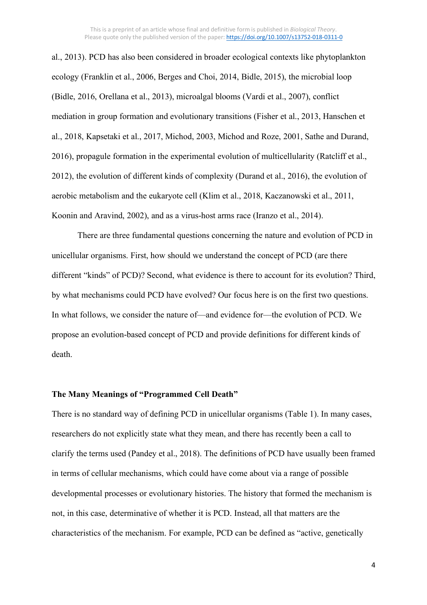al., 2013). PCD has also been considered in broader ecological contexts like phytoplankton ecology (Franklin et al., 2006, Berges and Choi, 2014, Bidle, 2015), the microbial loop (Bidle, 2016, Orellana et al., 2013), microalgal blooms (Vardi et al., 2007), conflict mediation in group formation and evolutionary transitions (Fisher et al., 2013, Hanschen et al., 2018, Kapsetaki et al., 2017, Michod, 2003, Michod and Roze, 2001, Sathe and Durand, 2016), propagule formation in the experimental evolution of multicellularity (Ratcliff et al., 2012), the evolution of different kinds of complexity (Durand et al., 2016), the evolution of aerobic metabolism and the eukaryote cell (Klim et al., 2018, Kaczanowski et al., 2011, Koonin and Aravind, 2002), and as a virus-host arms race (Iranzo et al., 2014).

There are three fundamental questions concerning the nature and evolution of PCD in unicellular organisms. First, how should we understand the concept of PCD (are there different "kinds" of PCD)? Second, what evidence is there to account for its evolution? Third, by what mechanisms could PCD have evolved? Our focus here is on the first two questions. In what follows, we consider the nature of—and evidence for—the evolution of PCD. We propose an evolution-based concept of PCD and provide definitions for different kinds of death.

### **The Many Meanings of "Programmed Cell Death"**

There is no standard way of defining PCD in unicellular organisms (Table 1). In many cases, researchers do not explicitly state what they mean, and there has recently been a call to clarify the terms used (Pandey et al., 2018). The definitions of PCD have usually been framed in terms of cellular mechanisms, which could have come about via a range of possible developmental processes or evolutionary histories. The history that formed the mechanism is not, in this case, determinative of whether it is PCD. Instead, all that matters are the characteristics of the mechanism. For example, PCD can be defined as "active, genetically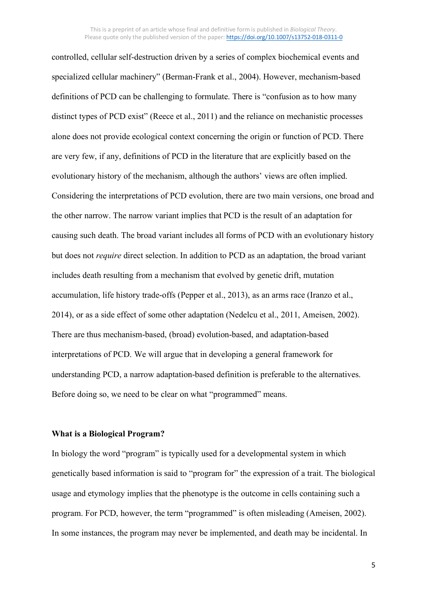controlled, cellular self-destruction driven by a series of complex biochemical events and specialized cellular machinery" (Berman-Frank et al., 2004). However, mechanism-based definitions of PCD can be challenging to formulate. There is "confusion as to how many distinct types of PCD exist" (Reece et al., 2011) and the reliance on mechanistic processes alone does not provide ecological context concerning the origin or function of PCD. There are very few, if any, definitions of PCD in the literature that are explicitly based on the evolutionary history of the mechanism, although the authors' views are often implied. Considering the interpretations of PCD evolution, there are two main versions, one broad and the other narrow. The narrow variant implies that PCD is the result of an adaptation for causing such death. The broad variant includes all forms of PCD with an evolutionary history but does not *require* direct selection. In addition to PCD as an adaptation, the broad variant includes death resulting from a mechanism that evolved by genetic drift, mutation accumulation, life history trade-offs (Pepper et al., 2013), as an arms race (Iranzo et al., 2014), or as a side effect of some other adaptation (Nedelcu et al., 2011, Ameisen, 2002). There are thus mechanism-based, (broad) evolution-based, and adaptation-based interpretations of PCD. We will argue that in developing a general framework for understanding PCD, a narrow adaptation-based definition is preferable to the alternatives. Before doing so, we need to be clear on what "programmed" means.

### **What is a Biological Program?**

In biology the word "program" is typically used for a developmental system in which genetically based information is said to "program for" the expression of a trait. The biological usage and etymology implies that the phenotype is the outcome in cells containing such a program. For PCD, however, the term "programmed" is often misleading (Ameisen, 2002). In some instances, the program may never be implemented, and death may be incidental. In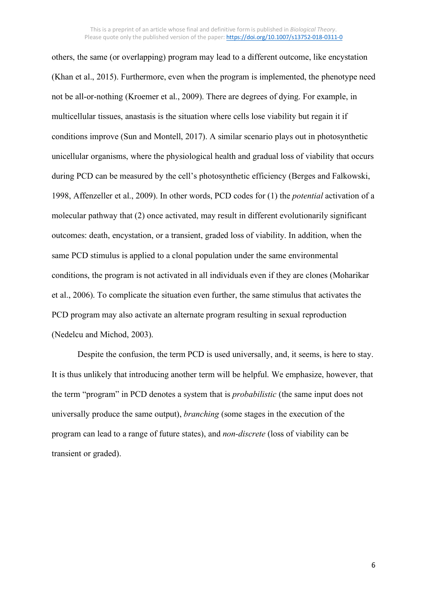others, the same (or overlapping) program may lead to a different outcome, like encystation (Khan et al., 2015). Furthermore, even when the program is implemented, the phenotype need not be all-or-nothing (Kroemer et al., 2009). There are degrees of dying. For example, in multicellular tissues, anastasis is the situation where cells lose viability but regain it if conditions improve (Sun and Montell, 2017). A similar scenario plays out in photosynthetic unicellular organisms, where the physiological health and gradual loss of viability that occurs during PCD can be measured by the cell's photosynthetic efficiency (Berges and Falkowski, 1998, Affenzeller et al., 2009). In other words, PCD codes for (1) the *potential* activation of a molecular pathway that (2) once activated, may result in different evolutionarily significant outcomes: death, encystation, or a transient, graded loss of viability. In addition, when the same PCD stimulus is applied to a clonal population under the same environmental conditions, the program is not activated in all individuals even if they are clones (Moharikar et al., 2006). To complicate the situation even further, the same stimulus that activates the PCD program may also activate an alternate program resulting in sexual reproduction (Nedelcu and Michod, 2003).

Despite the confusion, the term PCD is used universally, and, it seems, is here to stay. It is thus unlikely that introducing another term will be helpful. We emphasize, however, that the term "program" in PCD denotes a system that is *probabilistic* (the same input does not universally produce the same output), *branching* (some stages in the execution of the program can lead to a range of future states), and *non-discrete* (loss of viability can be transient or graded).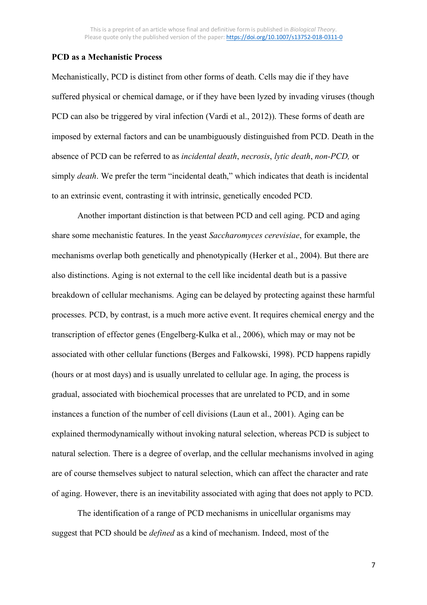### **PCD as a Mechanistic Process**

Mechanistically, PCD is distinct from other forms of death. Cells may die if they have suffered physical or chemical damage, or if they have been lyzed by invading viruses (though PCD can also be triggered by viral infection (Vardi et al., 2012)). These forms of death are imposed by external factors and can be unambiguously distinguished from PCD. Death in the absence of PCD can be referred to as *incidental death*, *necrosis*, *lytic death*, *non-PCD,* or simply *death*. We prefer the term "incidental death," which indicates that death is incidental to an extrinsic event, contrasting it with intrinsic, genetically encoded PCD.

Another important distinction is that between PCD and cell aging. PCD and aging share some mechanistic features. In the yeast *Saccharomyces cerevisiae*, for example, the mechanisms overlap both genetically and phenotypically (Herker et al., 2004). But there are also distinctions. Aging is not external to the cell like incidental death but is a passive breakdown of cellular mechanisms. Aging can be delayed by protecting against these harmful processes. PCD, by contrast, is a much more active event. It requires chemical energy and the transcription of effector genes (Engelberg-Kulka et al., 2006), which may or may not be associated with other cellular functions (Berges and Falkowski, 1998). PCD happens rapidly (hours or at most days) and is usually unrelated to cellular age. In aging, the process is gradual, associated with biochemical processes that are unrelated to PCD, and in some instances a function of the number of cell divisions (Laun et al., 2001). Aging can be explained thermodynamically without invoking natural selection, whereas PCD is subject to natural selection. There is a degree of overlap, and the cellular mechanisms involved in aging are of course themselves subject to natural selection, which can affect the character and rate of aging. However, there is an inevitability associated with aging that does not apply to PCD.

The identification of a range of PCD mechanisms in unicellular organisms may suggest that PCD should be *defined* as a kind of mechanism. Indeed, most of the

7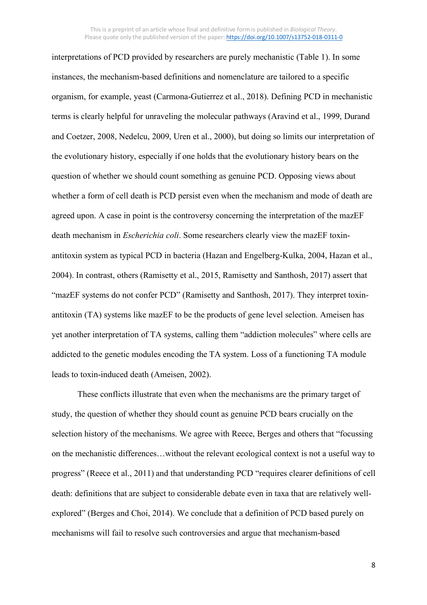interpretations of PCD provided by researchers are purely mechanistic (Table 1). In some instances, the mechanism-based definitions and nomenclature are tailored to a specific organism, for example, yeast (Carmona-Gutierrez et al., 2018). Defining PCD in mechanistic terms is clearly helpful for unraveling the molecular pathways (Aravind et al., 1999, Durand and Coetzer, 2008, Nedelcu, 2009, Uren et al., 2000), but doing so limits our interpretation of the evolutionary history, especially if one holds that the evolutionary history bears on the question of whether we should count something as genuine PCD. Opposing views about whether a form of cell death is PCD persist even when the mechanism and mode of death are agreed upon. A case in point is the controversy concerning the interpretation of the mazEF death mechanism in *Escherichia coli*. Some researchers clearly view the mazEF toxinantitoxin system as typical PCD in bacteria (Hazan and Engelberg-Kulka, 2004, Hazan et al., 2004). In contrast, others (Ramisetty et al., 2015, Ramisetty and Santhosh, 2017) assert that "mazEF systems do not confer PCD" (Ramisetty and Santhosh, 2017). They interpret toxinantitoxin (TA) systems like mazEF to be the products of gene level selection. Ameisen has yet another interpretation of TA systems, calling them "addiction molecules" where cells are addicted to the genetic modules encoding the TA system. Loss of a functioning TA module leads to toxin-induced death (Ameisen, 2002).

These conflicts illustrate that even when the mechanisms are the primary target of study, the question of whether they should count as genuine PCD bears crucially on the selection history of the mechanisms. We agree with Reece, Berges and others that "focussing on the mechanistic differences…without the relevant ecological context is not a useful way to progress" (Reece et al., 2011) and that understanding PCD "requires clearer definitions of cell death: definitions that are subject to considerable debate even in taxa that are relatively wellexplored" (Berges and Choi, 2014). We conclude that a definition of PCD based purely on mechanisms will fail to resolve such controversies and argue that mechanism-based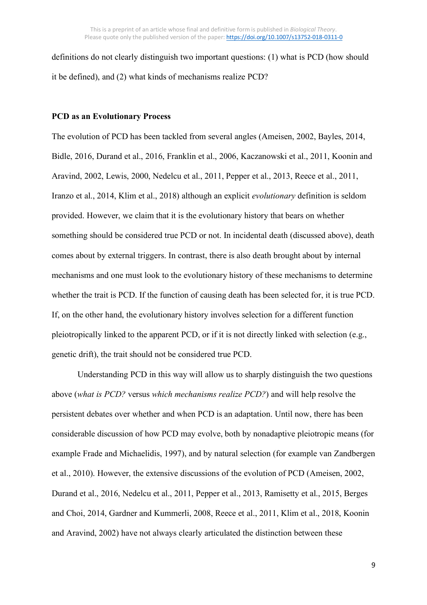definitions do not clearly distinguish two important questions: (1) what is PCD (how should it be defined), and (2) what kinds of mechanisms realize PCD?

## **PCD as an Evolutionary Process**

The evolution of PCD has been tackled from several angles (Ameisen, 2002, Bayles, 2014, Bidle, 2016, Durand et al., 2016, Franklin et al., 2006, Kaczanowski et al., 2011, Koonin and Aravind, 2002, Lewis, 2000, Nedelcu et al., 2011, Pepper et al., 2013, Reece et al., 2011, Iranzo et al., 2014, Klim et al., 2018) although an explicit *evolutionary* definition is seldom provided. However, we claim that it is the evolutionary history that bears on whether something should be considered true PCD or not. In incidental death (discussed above), death comes about by external triggers. In contrast, there is also death brought about by internal mechanisms and one must look to the evolutionary history of these mechanisms to determine whether the trait is PCD. If the function of causing death has been selected for, it is true PCD. If, on the other hand, the evolutionary history involves selection for a different function pleiotropically linked to the apparent PCD, or if it is not directly linked with selection (e.g., genetic drift), the trait should not be considered true PCD.

Understanding PCD in this way will allow us to sharply distinguish the two questions above (*what is PCD?* versus *which mechanisms realize PCD?*) and will help resolve the persistent debates over whether and when PCD is an adaptation. Until now, there has been considerable discussion of how PCD may evolve, both by nonadaptive pleiotropic means (for example Frade and Michaelidis, 1997), and by natural selection (for example van Zandbergen et al., 2010). However, the extensive discussions of the evolution of PCD (Ameisen, 2002, Durand et al., 2016, Nedelcu et al., 2011, Pepper et al., 2013, Ramisetty et al., 2015, Berges and Choi, 2014, Gardner and Kummerli, 2008, Reece et al., 2011, Klim et al., 2018, Koonin and Aravind, 2002) have not always clearly articulated the distinction between these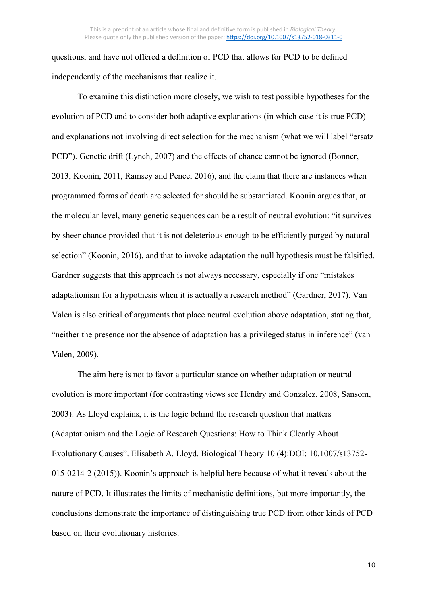questions, and have not offered a definition of PCD that allows for PCD to be defined independently of the mechanisms that realize it.

To examine this distinction more closely, we wish to test possible hypotheses for the evolution of PCD and to consider both adaptive explanations (in which case it is true PCD) and explanations not involving direct selection for the mechanism (what we will label "ersatz PCD"). Genetic drift (Lynch, 2007) and the effects of chance cannot be ignored (Bonner, 2013, Koonin, 2011, Ramsey and Pence, 2016), and the claim that there are instances when programmed forms of death are selected for should be substantiated. Koonin argues that, at the molecular level, many genetic sequences can be a result of neutral evolution: "it survives by sheer chance provided that it is not deleterious enough to be efficiently purged by natural selection" (Koonin, 2016), and that to invoke adaptation the null hypothesis must be falsified. Gardner suggests that this approach is not always necessary, especially if one "mistakes adaptationism for a hypothesis when it is actually a research method" (Gardner, 2017). Van Valen is also critical of arguments that place neutral evolution above adaptation, stating that, "neither the presence nor the absence of adaptation has a privileged status in inference" (van Valen, 2009).

The aim here is not to favor a particular stance on whether adaptation or neutral evolution is more important (for contrasting views see Hendry and Gonzalez, 2008, Sansom, 2003). As Lloyd explains, it is the logic behind the research question that matters (Adaptationism and the Logic of Research Questions: How to Think Clearly About Evolutionary Causes". Elisabeth A. Lloyd. Biological Theory 10 (4):DOI: 10.1007/s13752- 015-0214-2 (2015)). Koonin's approach is helpful here because of what it reveals about the nature of PCD. It illustrates the limits of mechanistic definitions, but more importantly, the conclusions demonstrate the importance of distinguishing true PCD from other kinds of PCD based on their evolutionary histories.

10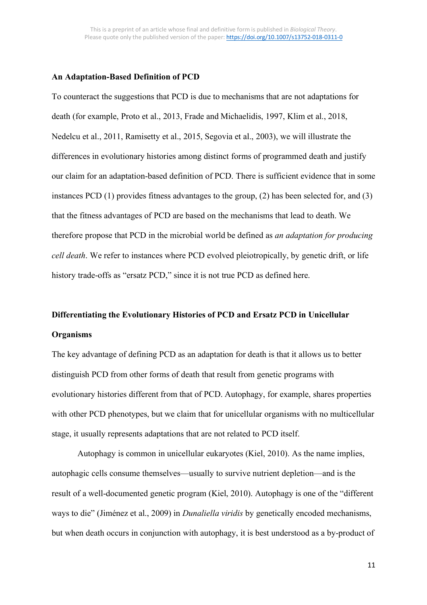### **An Adaptation-Based Definition of PCD**

To counteract the suggestions that PCD is due to mechanisms that are not adaptations for death (for example, Proto et al., 2013, Frade and Michaelidis, 1997, Klim et al., 2018, Nedelcu et al., 2011, Ramisetty et al., 2015, Segovia et al., 2003), we will illustrate the differences in evolutionary histories among distinct forms of programmed death and justify our claim for an adaptation-based definition of PCD. There is sufficient evidence that in some instances PCD (1) provides fitness advantages to the group, (2) has been selected for, and (3) that the fitness advantages of PCD are based on the mechanisms that lead to death. We therefore propose that PCD in the microbial world be defined as *an adaptation for producing cell death*. We refer to instances where PCD evolved pleiotropically, by genetic drift, or life history trade-offs as "ersatz PCD," since it is not true PCD as defined here.

# **Differentiating the Evolutionary Histories of PCD and Ersatz PCD in Unicellular Organisms**

The key advantage of defining PCD as an adaptation for death is that it allows us to better distinguish PCD from other forms of death that result from genetic programs with evolutionary histories different from that of PCD. Autophagy, for example, shares properties with other PCD phenotypes, but we claim that for unicellular organisms with no multicellular stage, it usually represents adaptations that are not related to PCD itself.

Autophagy is common in unicellular eukaryotes (Kiel, 2010). As the name implies, autophagic cells consume themselves—usually to survive nutrient depletion—and is the result of a well-documented genetic program (Kiel, 2010). Autophagy is one of the "different ways to die" (Jiménez et al., 2009) in *Dunaliella viridis* by genetically encoded mechanisms, but when death occurs in conjunction with autophagy, it is best understood as a by-product of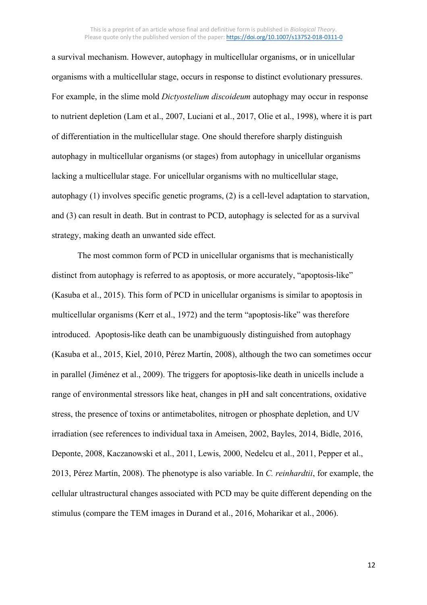#### This is a preprint of an article whose final and definitive form is published in *Biological Theory*. Please quote only the published version of the paper: https://doi.org/10.1007/s13752-018-0311-0

a survival mechanism. However, autophagy in multicellular organisms, or in unicellular organisms with a multicellular stage, occurs in response to distinct evolutionary pressures. For example, in the slime mold *Dictyostelium discoideum* autophagy may occur in response to nutrient depletion (Lam et al., 2007, Luciani et al., 2017, Olie et al., 1998), where it is part of differentiation in the multicellular stage. One should therefore sharply distinguish autophagy in multicellular organisms (or stages) from autophagy in unicellular organisms lacking a multicellular stage. For unicellular organisms with no multicellular stage, autophagy (1) involves specific genetic programs, (2) is a cell-level adaptation to starvation, and (3) can result in death. But in contrast to PCD, autophagy is selected for as a survival strategy, making death an unwanted side effect.

The most common form of PCD in unicellular organisms that is mechanistically distinct from autophagy is referred to as apoptosis, or more accurately, "apoptosis-like" (Kasuba et al., 2015). This form of PCD in unicellular organisms is similar to apoptosis in multicellular organisms (Kerr et al., 1972) and the term "apoptosis-like" was therefore introduced. Apoptosis-like death can be unambiguously distinguished from autophagy (Kasuba et al., 2015, Kiel, 2010, Pérez Martín, 2008), although the two can sometimes occur in parallel (Jiménez et al., 2009). The triggers for apoptosis-like death in unicells include a range of environmental stressors like heat, changes in pH and salt concentrations, oxidative stress, the presence of toxins or antimetabolites, nitrogen or phosphate depletion, and UV irradiation (see references to individual taxa in Ameisen, 2002, Bayles, 2014, Bidle, 2016, Deponte, 2008, Kaczanowski et al., 2011, Lewis, 2000, Nedelcu et al., 2011, Pepper et al., 2013, Pérez Martín, 2008). The phenotype is also variable. In *C. reinhardtii*, for example, the cellular ultrastructural changes associated with PCD may be quite different depending on the stimulus (compare the TEM images in Durand et al., 2016, Moharikar et al., 2006).

12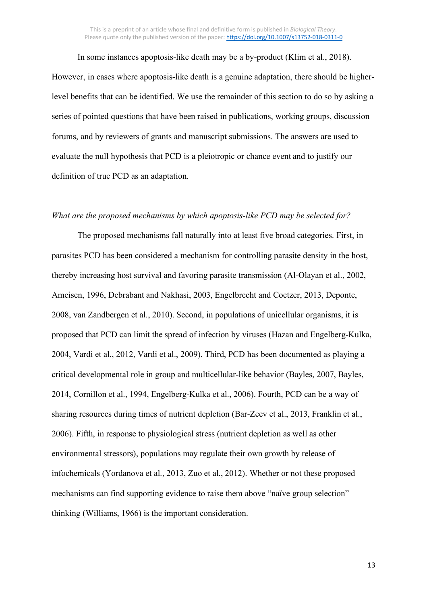#### This is a preprint of an article whose final and definitive form is published in *Biological Theory*. Please quote only the published version of the paper: https://doi.org/10.1007/s13752-018-0311-0

In some instances apoptosis-like death may be a by-product (Klim et al., 2018). However, in cases where apoptosis-like death is a genuine adaptation, there should be higherlevel benefits that can be identified. We use the remainder of this section to do so by asking a series of pointed questions that have been raised in publications, working groups, discussion forums, and by reviewers of grants and manuscript submissions. The answers are used to evaluate the null hypothesis that PCD is a pleiotropic or chance event and to justify our definition of true PCD as an adaptation.

### *What are the proposed mechanisms by which apoptosis-like PCD may be selected for?*

The proposed mechanisms fall naturally into at least five broad categories. First, in parasites PCD has been considered a mechanism for controlling parasite density in the host, thereby increasing host survival and favoring parasite transmission (Al-Olayan et al., 2002, Ameisen, 1996, Debrabant and Nakhasi, 2003, Engelbrecht and Coetzer, 2013, Deponte, 2008, van Zandbergen et al., 2010). Second, in populations of unicellular organisms, it is proposed that PCD can limit the spread of infection by viruses (Hazan and Engelberg-Kulka, 2004, Vardi et al., 2012, Vardi et al., 2009). Third, PCD has been documented as playing a critical developmental role in group and multicellular-like behavior (Bayles, 2007, Bayles, 2014, Cornillon et al., 1994, Engelberg-Kulka et al., 2006). Fourth, PCD can be a way of sharing resources during times of nutrient depletion (Bar-Zeev et al., 2013, Franklin et al., 2006). Fifth, in response to physiological stress (nutrient depletion as well as other environmental stressors), populations may regulate their own growth by release of infochemicals (Yordanova et al., 2013, Zuo et al., 2012). Whether or not these proposed mechanisms can find supporting evidence to raise them above "naïve group selection" thinking (Williams, 1966) is the important consideration.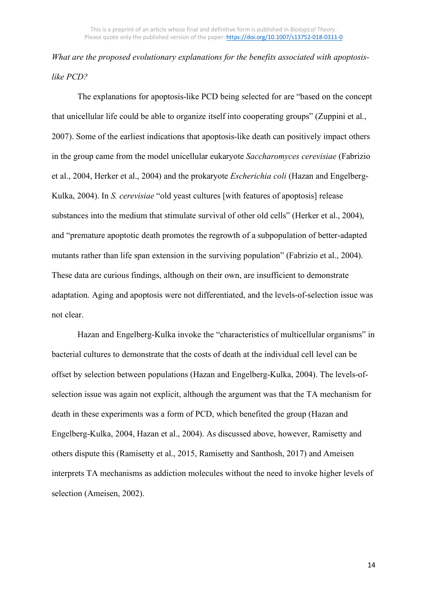*What are the proposed evolutionary explanations for the benefits associated with apoptosislike PCD?*

The explanations for apoptosis-like PCD being selected for are "based on the concept that unicellular life could be able to organize itself into cooperating groups" (Zuppini et al., 2007). Some of the earliest indications that apoptosis-like death can positively impact others in the group came from the model unicellular eukaryote *Saccharomyces cerevisiae* (Fabrizio et al., 2004, Herker et al., 2004) and the prokaryote *Escherichia coli* (Hazan and Engelberg-Kulka, 2004). In *S. cerevisiae* "old yeast cultures [with features of apoptosis] release substances into the medium that stimulate survival of other old cells" (Herker et al., 2004), and "premature apoptotic death promotes the regrowth of a subpopulation of better-adapted mutants rather than life span extension in the surviving population" (Fabrizio et al., 2004). These data are curious findings, although on their own, are insufficient to demonstrate adaptation. Aging and apoptosis were not differentiated, and the levels-of-selection issue was not clear.

Hazan and Engelberg-Kulka invoke the "characteristics of multicellular organisms" in bacterial cultures to demonstrate that the costs of death at the individual cell level can be offset by selection between populations (Hazan and Engelberg-Kulka, 2004). The levels-ofselection issue was again not explicit, although the argument was that the TA mechanism for death in these experiments was a form of PCD, which benefited the group (Hazan and Engelberg-Kulka, 2004, Hazan et al., 2004). As discussed above, however, Ramisetty and others dispute this (Ramisetty et al., 2015, Ramisetty and Santhosh, 2017) and Ameisen interprets TA mechanisms as addiction molecules without the need to invoke higher levels of selection (Ameisen, 2002).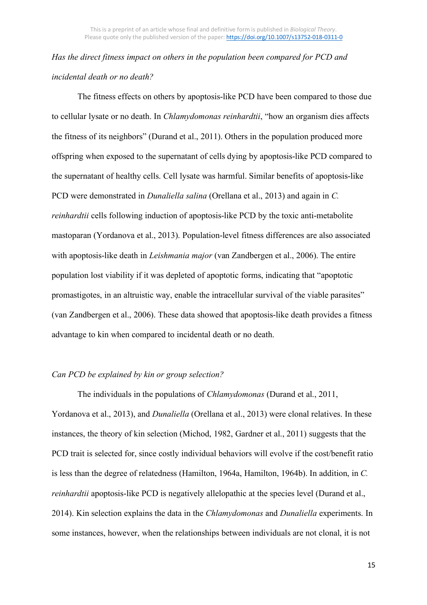# *Has the direct fitness impact on others in the population been compared for PCD and incidental death or no death?*

The fitness effects on others by apoptosis-like PCD have been compared to those due to cellular lysate or no death. In *Chlamydomonas reinhardtii*, "how an organism dies affects the fitness of its neighbors" (Durand et al., 2011). Others in the population produced more offspring when exposed to the supernatant of cells dying by apoptosis-like PCD compared to the supernatant of healthy cells. Cell lysate was harmful. Similar benefits of apoptosis-like PCD were demonstrated in *Dunaliella salina* (Orellana et al., 2013) and again in *C. reinhardtii* cells following induction of apoptosis-like PCD by the toxic anti-metabolite mastoparan (Yordanova et al., 2013). Population-level fitness differences are also associated with apoptosis-like death in *Leishmania major* (van Zandbergen et al., 2006). The entire population lost viability if it was depleted of apoptotic forms, indicating that "apoptotic promastigotes, in an altruistic way, enable the intracellular survival of the viable parasites" (van Zandbergen et al., 2006). These data showed that apoptosis-like death provides a fitness advantage to kin when compared to incidental death or no death.

# *Can PCD be explained by kin or group selection?*

The individuals in the populations of *Chlamydomonas* (Durand et al., 2011, Yordanova et al., 2013), and *Dunaliella* (Orellana et al., 2013) were clonal relatives. In these instances, the theory of kin selection (Michod, 1982, Gardner et al., 2011) suggests that the PCD trait is selected for, since costly individual behaviors will evolve if the cost/benefit ratio is less than the degree of relatedness (Hamilton, 1964a, Hamilton, 1964b). In addition, in *C. reinhardtii* apoptosis-like PCD is negatively allelopathic at the species level (Durand et al., 2014). Kin selection explains the data in the *Chlamydomonas* and *Dunaliella* experiments. In some instances, however, when the relationships between individuals are not clonal, it is not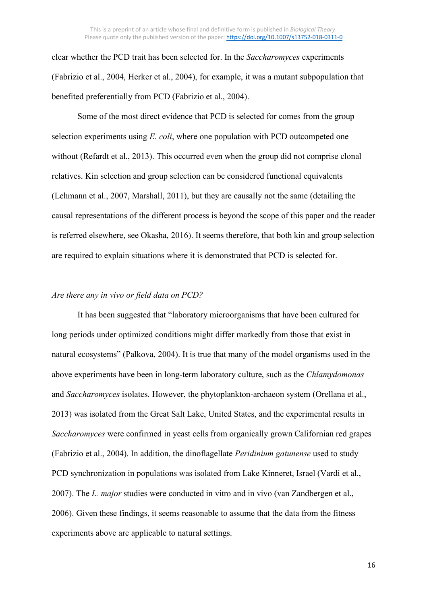clear whether the PCD trait has been selected for. In the *Saccharomyces* experiments (Fabrizio et al., 2004, Herker et al., 2004), for example, it was a mutant subpopulation that benefited preferentially from PCD (Fabrizio et al., 2004).

Some of the most direct evidence that PCD is selected for comes from the group selection experiments using *E. coli*, where one population with PCD outcompeted one without (Refardt et al., 2013). This occurred even when the group did not comprise clonal relatives. Kin selection and group selection can be considered functional equivalents (Lehmann et al., 2007, Marshall, 2011), but they are causally not the same (detailing the causal representations of the different process is beyond the scope of this paper and the reader is referred elsewhere, see Okasha, 2016). It seems therefore, that both kin and group selection are required to explain situations where it is demonstrated that PCD is selected for.

### *Are there any in vivo or field data on PCD?*

It has been suggested that "laboratory microorganisms that have been cultured for long periods under optimized conditions might differ markedly from those that exist in natural ecosystems" (Palkova, 2004). It is true that many of the model organisms used in the above experiments have been in long-term laboratory culture, such as the *Chlamydomonas* and *Saccharomyces* isolates. However, the phytoplankton-archaeon system (Orellana et al., 2013) was isolated from the Great Salt Lake, United States, and the experimental results in *Saccharomyces* were confirmed in yeast cells from organically grown Californian red grapes (Fabrizio et al., 2004). In addition, the dinoflagellate *Peridinium gatunense* used to study PCD synchronization in populations was isolated from Lake Kinneret, Israel (Vardi et al., 2007). The *L. major* studies were conducted in vitro and in vivo (van Zandbergen et al., 2006). Given these findings, it seems reasonable to assume that the data from the fitness experiments above are applicable to natural settings.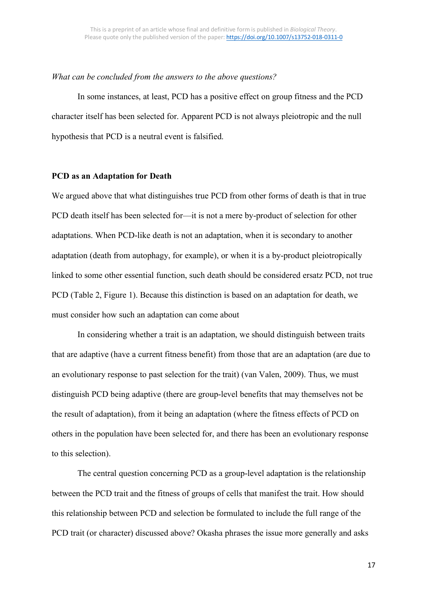### *What can be concluded from the answers to the above questions?*

In some instances, at least, PCD has a positive effect on group fitness and the PCD character itself has been selected for. Apparent PCD is not always pleiotropic and the null hypothesis that PCD is a neutral event is falsified.

### **PCD as an Adaptation for Death**

We argued above that what distinguishes true PCD from other forms of death is that in true PCD death itself has been selected for—it is not a mere by-product of selection for other adaptations. When PCD-like death is not an adaptation, when it is secondary to another adaptation (death from autophagy, for example), or when it is a by-product pleiotropically linked to some other essential function, such death should be considered ersatz PCD, not true PCD (Table 2, Figure 1). Because this distinction is based on an adaptation for death, we must consider how such an adaptation can come about

In considering whether a trait is an adaptation, we should distinguish between traits that are adaptive (have a current fitness benefit) from those that are an adaptation (are due to an evolutionary response to past selection for the trait) (van Valen, 2009). Thus, we must distinguish PCD being adaptive (there are group-level benefits that may themselves not be the result of adaptation), from it being an adaptation (where the fitness effects of PCD on others in the population have been selected for, and there has been an evolutionary response to this selection).

The central question concerning PCD as a group-level adaptation is the relationship between the PCD trait and the fitness of groups of cells that manifest the trait. How should this relationship between PCD and selection be formulated to include the full range of the PCD trait (or character) discussed above? Okasha phrases the issue more generally and asks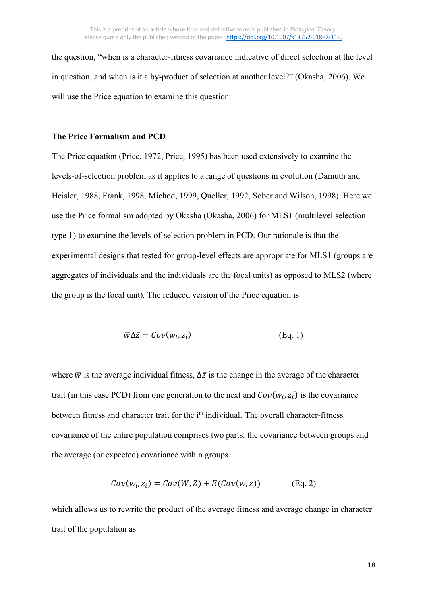the question, "when is a character-fitness covariance indicative of direct selection at the level in question, and when is it a by-product of selection at another level?" (Okasha, 2006). We will use the Price equation to examine this question.

### **The Price Formalism and PCD**

The Price equation (Price, 1972, Price, 1995) has been used extensively to examine the levels-of-selection problem as it applies to a range of questions in evolution (Damuth and Heisler, 1988, Frank, 1998, Michod, 1999, Queller, 1992, Sober and Wilson, 1998). Here we use the Price formalism adopted by Okasha (Okasha, 2006) for MLS1 (multilevel selection type 1) to examine the levels-of-selection problem in PCD. Our rationale is that the experimental designs that tested for group-level effects are appropriate for MLS1 (groups are aggregates of individuals and the individuals are the focal units) as opposed to MLS2 (where the group is the focal unit). The reduced version of the Price equation is

$$
\overline{w}\Delta \overline{z} = Cov(w_i, z_i) \tag{Eq. 1}
$$

where  $\overline{w}$  is the average individual fitness,  $\Delta \overline{z}$  is the change in the average of the character trait (in this case PCD) from one generation to the next and  $Cov(w_i, z_i)$  is the covariance between fitness and character trait for the i<sup>th</sup> individual. The overall character-fitness covariance of the entire population comprises two parts: the covariance between groups and the average (or expected) covariance within groups

$$
Cov(w_i, z_i) = Cov(W, Z) + E(Cov(w, z))
$$
 (Eq. 2)

which allows us to rewrite the product of the average fitness and average change in character trait of the population as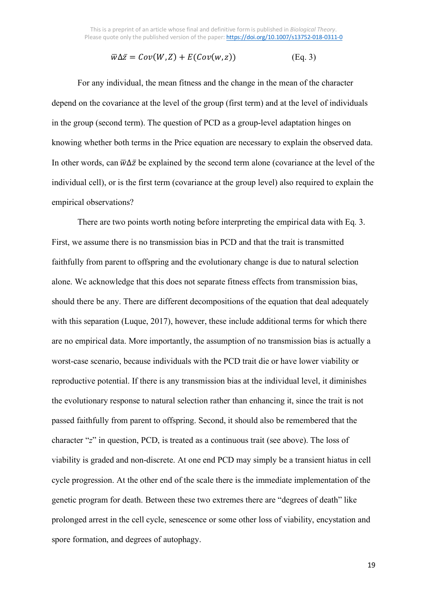$$
\overline{w}\Delta \overline{z} = Cov(W, Z) + E(Cov(w, z))
$$
 (Eq. 3)

For any individual, the mean fitness and the change in the mean of the character depend on the covariance at the level of the group (first term) and at the level of individuals in the group (second term). The question of PCD as a group-level adaptation hinges on knowing whether both terms in the Price equation are necessary to explain the observed data. In other words, can  $\overline{w}\Delta \overline{z}$  be explained by the second term alone (covariance at the level of the individual cell), or is the first term (covariance at the group level) also required to explain the empirical observations?

There are two points worth noting before interpreting the empirical data with Eq. 3. First, we assume there is no transmission bias in PCD and that the trait is transmitted faithfully from parent to offspring and the evolutionary change is due to natural selection alone. We acknowledge that this does not separate fitness effects from transmission bias, should there be any. There are different decompositions of the equation that deal adequately with this separation (Luque, 2017), however, these include additional terms for which there are no empirical data. More importantly, the assumption of no transmission bias is actually a worst-case scenario, because individuals with the PCD trait die or have lower viability or reproductive potential. If there is any transmission bias at the individual level, it diminishes the evolutionary response to natural selection rather than enhancing it, since the trait is not passed faithfully from parent to offspring. Second, it should also be remembered that the character "*z*" in question, PCD, is treated as a continuous trait (see above). The loss of viability is graded and non-discrete. At one end PCD may simply be a transient hiatus in cell cycle progression. At the other end of the scale there is the immediate implementation of the genetic program for death. Between these two extremes there are "degrees of death" like prolonged arrest in the cell cycle, senescence or some other loss of viability, encystation and spore formation, and degrees of autophagy.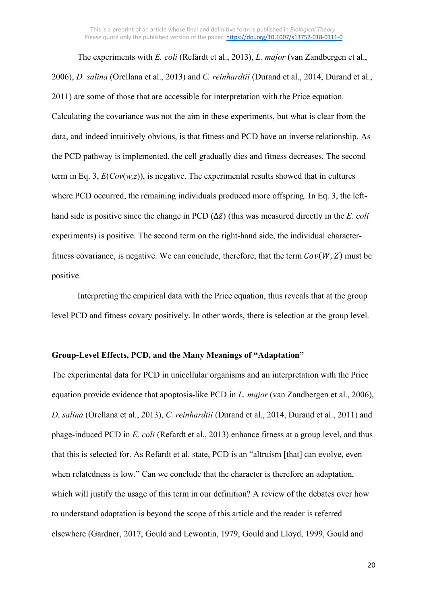The experiments with *E. coli* (Refardt et al., 2013), *L. major* (van Zandbergen et al., 2006), *D. salina* (Orellana et al., 2013) and *C. reinhardtii* (Durand et al., 2014, Durand et al., 2011) are some of those that are accessible for interpretation with the Price equation. Calculating the covariance was not the aim in these experiments, but what is clear from the data, and indeed intuitively obvious, is that fitness and PCD have an inverse relationship. As the PCD pathway is implemented, the cell gradually dies and fitness decreases. The second term in Eq. 3,  $E(Cov(w,z))$ , is negative. The experimental results showed that in cultures where PCD occurred, the remaining individuals produced more offspring. In Eq. 3, the lefthand side is positive since the change in PCD (∆̅) (this was measured directly in the *E. coli* experiments) is positive. The second term on the right-hand side, the individual characterfitness covariance, is negative. We can conclude, therefore, that the term  $Cov(W, Z)$  must be positive.

Interpreting the empirical data with the Price equation, thus reveals that at the group level PCD and fitness covary positively. In other words, there is selection at the group level.

### **Group-Level Effects, PCD, and the Many Meanings of "Adaptation"**

The experimental data for PCD in unicellular organisms and an interpretation with the Price equation provide evidence that apoptosis-like PCD in *L. major* (van Zandbergen et al., 2006), *D. salina* (Orellana et al., 2013), *C. reinhardtii* (Durand et al., 2014, Durand et al., 2011) and phage-induced PCD in *E. coli* (Refardt et al., 2013) enhance fitness at a group level, and thus that this is selected for. As Refardt et al. state, PCD is an "altruism [that] can evolve, even when relatedness is low." Can we conclude that the character is therefore an adaptation, which will justify the usage of this term in our definition? A review of the debates over how to understand adaptation is beyond the scope of this article and the reader is referred elsewhere (Gardner, 2017, Gould and Lewontin, 1979, Gould and Lloyd, 1999, Gould and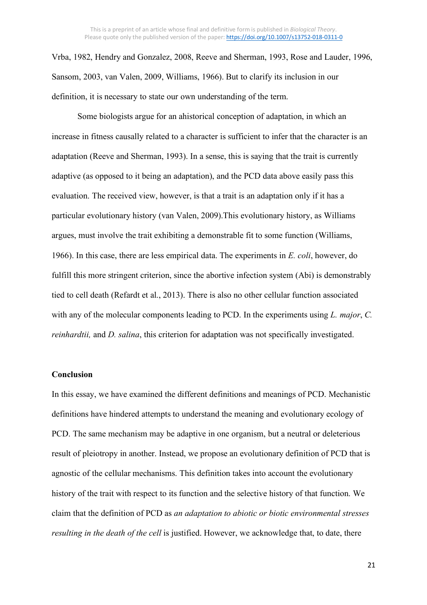Vrba, 1982, Hendry and Gonzalez, 2008, Reeve and Sherman, 1993, Rose and Lauder, 1996, Sansom, 2003, van Valen, 2009, Williams, 1966). But to clarify its inclusion in our definition, it is necessary to state our own understanding of the term.

Some biologists argue for an ahistorical conception of adaptation, in which an increase in fitness causally related to a character is sufficient to infer that the character is an adaptation (Reeve and Sherman, 1993). In a sense, this is saying that the trait is currently adaptive (as opposed to it being an adaptation), and the PCD data above easily pass this evaluation. The received view, however, is that a trait is an adaptation only if it has a particular evolutionary history (van Valen, 2009).This evolutionary history, as Williams argues, must involve the trait exhibiting a demonstrable fit to some function (Williams, 1966). In this case, there are less empirical data. The experiments in *E. coli*, however, do fulfill this more stringent criterion, since the abortive infection system (Abi) is demonstrably tied to cell death (Refardt et al., 2013). There is also no other cellular function associated with any of the molecular components leading to PCD. In the experiments using *L. major*, *C. reinhardtii,* and *D. salina*, this criterion for adaptation was not specifically investigated.

## **Conclusion**

In this essay, we have examined the different definitions and meanings of PCD. Mechanistic definitions have hindered attempts to understand the meaning and evolutionary ecology of PCD. The same mechanism may be adaptive in one organism, but a neutral or deleterious result of pleiotropy in another. Instead, we propose an evolutionary definition of PCD that is agnostic of the cellular mechanisms. This definition takes into account the evolutionary history of the trait with respect to its function and the selective history of that function. We claim that the definition of PCD as *an adaptation to abiotic or biotic environmental stresses resulting in the death of the cell* is justified. However, we acknowledge that, to date, there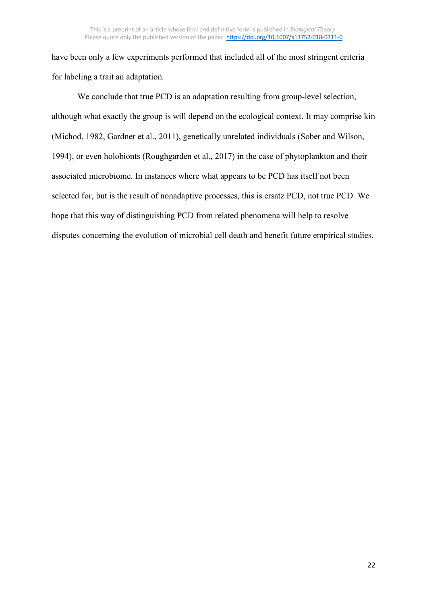have been only a few experiments performed that included all of the most stringent criteria for labeling a trait an adaptation.

We conclude that true PCD is an adaptation resulting from group-level selection, although what exactly the group is will depend on the ecological context. It may comprise kin (Michod, 1982, Gardner et al., 2011), genetically unrelated individuals (Sober and Wilson, 1994), or even holobionts (Roughgarden et al., 2017) in the case of phytoplankton and their associated microbiome. In instances where what appears to be PCD has itself not been selected for, but is the result of nonadaptive processes, this is ersatz PCD, not true PCD. We hope that this way of distinguishing PCD from related phenomena will help to resolve disputes concerning the evolution of microbial cell death and benefit future empirical studies.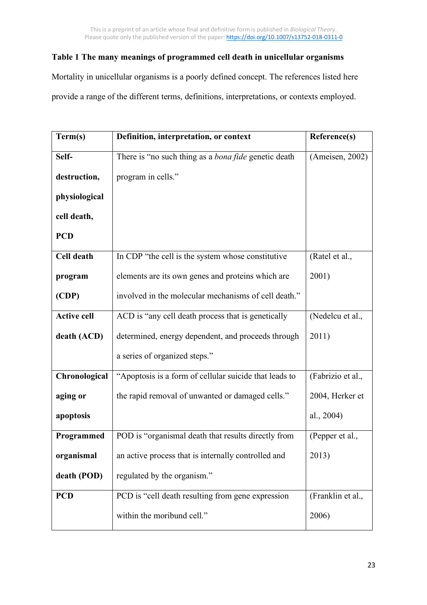# **Table 1 The many meanings of programmed cell death in unicellular organisms**

Mortality in unicellular organisms is a poorly defined concept. The references listed here provide a range of the different terms, definitions, interpretations, or contexts employed.

| Term(s)            | Definition, interpretation, or context                      | Reference(s)      |
|--------------------|-------------------------------------------------------------|-------------------|
| Self-              | There is "no such thing as a <i>bona fide</i> genetic death | (Ameisen, 2002)   |
| destruction,       | program in cells."                                          |                   |
| physiological      |                                                             |                   |
| cell death,        |                                                             |                   |
| <b>PCD</b>         |                                                             |                   |
| <b>Cell death</b>  | In CDP "the cell is the system whose constitutive           | (Ratel et al.,    |
| program            | elements are its own genes and proteins which are           | 2001)             |
| (CDP)              | involved in the molecular mechanisms of cell death."        |                   |
| <b>Active cell</b> | ACD is "any cell death process that is genetically          | (Nedelcu et al.,  |
| death (ACD)        | determined, energy dependent, and proceeds through          | 2011)             |
|                    | a series of organized steps."                               |                   |
| Chronological      | "Apoptosis is a form of cellular suicide that leads to      | (Fabrizio et al., |
| aging or           | the rapid removal of unwanted or damaged cells."            | 2004, Herker et   |
| apoptosis          |                                                             | al., 2004)        |
| Programmed         | POD is "organismal death that results directly from         | (Pepper et al.,   |
| organismal         | an active process that is internally controlled and         | 2013)             |
| death (POD)        | regulated by the organism."                                 |                   |
| <b>PCD</b>         | PCD is "cell death resulting from gene expression           | (Franklin et al., |
|                    | within the moribund cell."                                  | 2006)             |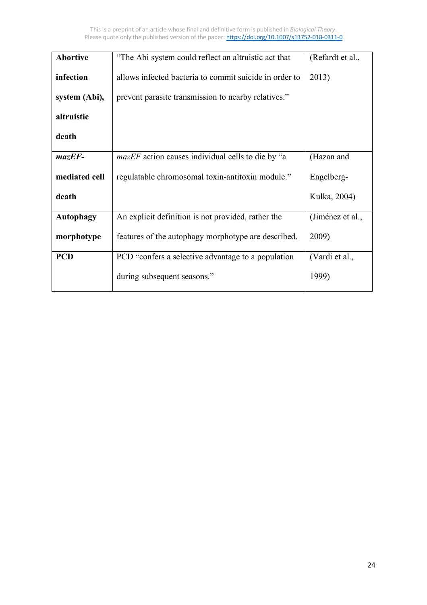| <b>Abortive</b>  | "The Abi system could reflect an altruistic act that     | (Refardt et al., |
|------------------|----------------------------------------------------------|------------------|
| infection        | allows infected bacteria to commit suicide in order to   | 2013)            |
| system (Abi),    | prevent parasite transmission to nearby relatives."      |                  |
| altruistic       |                                                          |                  |
| death            |                                                          |                  |
| $maxEF-$         | <i>mazEF</i> action causes individual cells to die by "a | (Hazan and       |
| mediated cell    | regulatable chromosomal toxin-antitoxin module."         | Engelberg-       |
| death            |                                                          | Kulka, 2004)     |
| <b>Autophagy</b> | An explicit definition is not provided, rather the       | (Jiménez et al., |
| morphotype       | features of the autophagy morphotype are described.      | 2009)            |
| <b>PCD</b>       | PCD "confers a selective advantage to a population       | (Vardi et al.,   |
|                  | during subsequent seasons."                              | 1999)            |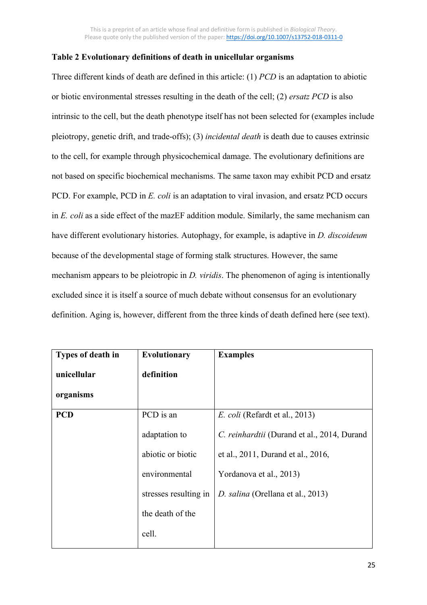# **Table 2 Evolutionary definitions of death in unicellular organisms**

Three different kinds of death are defined in this article: (1) *PCD* is an adaptation to abiotic or biotic environmental stresses resulting in the death of the cell; (2) *ersatz PCD* is also intrinsic to the cell, but the death phenotype itself has not been selected for (examples include pleiotropy, genetic drift, and trade-offs); (3) *incidental death* is death due to causes extrinsic to the cell, for example through physicochemical damage. The evolutionary definitions are not based on specific biochemical mechanisms. The same taxon may exhibit PCD and ersatz PCD. For example, PCD in *E. coli* is an adaptation to viral invasion, and ersatz PCD occurs in *E. coli* as a side effect of the mazEF addition module. Similarly, the same mechanism can have different evolutionary histories. Autophagy, for example, is adaptive in *D. discoideum* because of the developmental stage of forming stalk structures. However, the same mechanism appears to be pleiotropic in *D. viridis*. The phenomenon of aging is intentionally excluded since it is itself a source of much debate without consensus for an evolutionary definition. Aging is, however, different from the three kinds of death defined here (see text).

| Types of death in | <b>Evolutionary</b>   | <b>Examples</b>                             |
|-------------------|-----------------------|---------------------------------------------|
| unicellular       | definition            |                                             |
| organisms         |                       |                                             |
| <b>PCD</b>        | PCD is an             | E. coli (Refardt et al., 2013)              |
|                   | adaptation to         | C. reinhardtii (Durand et al., 2014, Durand |
|                   | abiotic or biotic     | et al., 2011, Durand et al., 2016,          |
|                   | environmental         | Yordanova et al., 2013)                     |
|                   | stresses resulting in | D. salina (Orellana et al., 2013)           |
|                   | the death of the      |                                             |
|                   | cell.                 |                                             |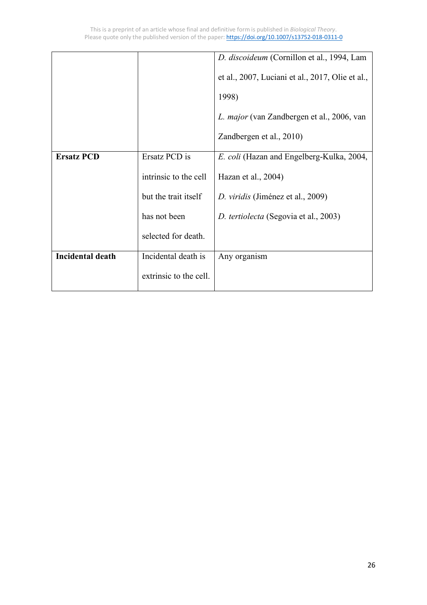|                   |                        | D. discoideum (Cornillon et al., 1994, Lam                                                                                                 |  |
|-------------------|------------------------|--------------------------------------------------------------------------------------------------------------------------------------------|--|
|                   |                        | et al., 2007, Luciani et al., 2017, Olie et al.,<br>1998)<br><i>L. major</i> (van Zandbergen et al., 2006, van<br>Zandbergen et al., 2010) |  |
|                   |                        |                                                                                                                                            |  |
| <b>Ersatz PCD</b> | Ersatz PCD is          | E. coli (Hazan and Engelberg-Kulka, 2004,                                                                                                  |  |
|                   | intrinsic to the cell  | Hazan et al., 2004)                                                                                                                        |  |
|                   | but the trait itself   | D. viridis (Jiménez et al., 2009)                                                                                                          |  |
|                   | has not been           | D. tertiolecta (Segovia et al., 2003)                                                                                                      |  |
|                   | selected for death.    |                                                                                                                                            |  |
| Incidental death  | Incidental death is    | Any organism                                                                                                                               |  |
|                   | extrinsic to the cell. |                                                                                                                                            |  |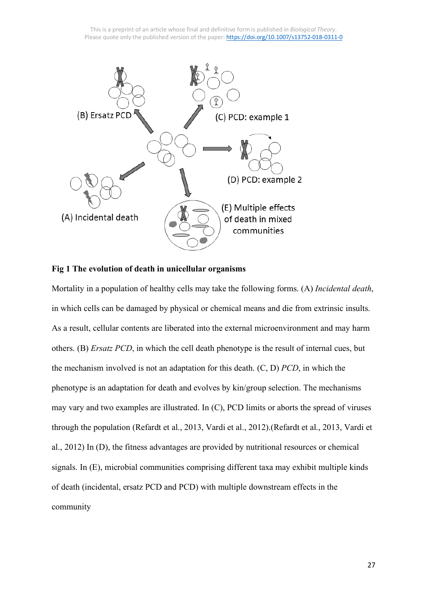

**Fig 1 The evolution of death in unicellular organisms**

Mortality in a population of healthy cells may take the following forms. (A) *Incidental death*, in which cells can be damaged by physical or chemical means and die from extrinsic insults. As a result, cellular contents are liberated into the external microenvironment and may harm others. (B) *Ersatz PCD*, in which the cell death phenotype is the result of internal cues, but the mechanism involved is not an adaptation for this death. (C, D) *PCD*, in which the phenotype is an adaptation for death and evolves by kin/group selection. The mechanisms may vary and two examples are illustrated. In (C), PCD limits or aborts the spread of viruses through the population (Refardt et al., 2013, Vardi et al., 2012).(Refardt et al., 2013, Vardi et al., 2012) In (D), the fitness advantages are provided by nutritional resources or chemical signals. In (E), microbial communities comprising different taxa may exhibit multiple kinds of death (incidental, ersatz PCD and PCD) with multiple downstream effects in the community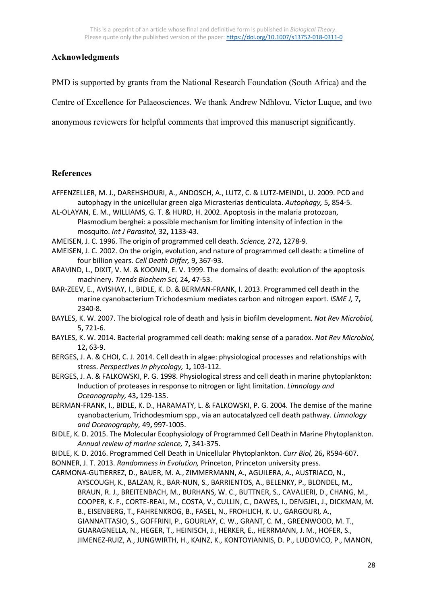# **Acknowledgments**

PMD is supported by grants from the National Research Foundation (South Africa) and the

Centre of Excellence for Palaeosciences. We thank Andrew Ndhlovu, Victor Luque, and two

anonymous reviewers for helpful comments that improved this manuscript significantly.

# **References**

- AFFENZELLER, M. J., DAREHSHOURI, A., ANDOSCH, A., LUTZ, C. & LUTZ-MEINDL, U. 2009. PCD and autophagy in the unicellular green alga Micrasterias denticulata. *Autophagy,* 5**,** 854-5.
- AL-OLAYAN, E. M., WILLIAMS, G. T. & HURD, H. 2002. Apoptosis in the malaria protozoan, Plasmodium berghei: a possible mechanism for limiting intensity of infection in the mosquito. *Int J Parasitol,* 32**,** 1133-43.
- AMEISEN, J. C. 1996. The origin of programmed cell death. *Science,* 272**,** 1278-9.
- AMEISEN, J. C. 2002. On the origin, evolution, and nature of programmed cell death: a timeline of four billion years. *Cell Death Differ,* 9**,** 367-93.
- ARAVIND, L., DIXIT, V. M. & KOONIN, E. V. 1999. The domains of death: evolution of the apoptosis machinery. *Trends Biochem Sci,* 24**,** 47-53.
- BAR-ZEEV, E., AVISHAY, I., BIDLE, K. D. & BERMAN-FRANK, I. 2013. Programmed cell death in the marine cyanobacterium Trichodesmium mediates carbon and nitrogen export. *ISME J,* 7**,** 2340-8.
- BAYLES, K. W. 2007. The biological role of death and lysis in biofilm development. *Nat Rev Microbiol,* 5**,** 721-6.
- BAYLES, K. W. 2014. Bacterial programmed cell death: making sense of a paradox. *Nat Rev Microbiol,* 12**,** 63-9.
- BERGES, J. A. & CHOI, C. J. 2014. Cell death in algae: physiological processes and relationships with stress. *Perspectives in phycology,* 1**,** 103-112.
- BERGES, J. A. & FALKOWSKI, P. G. 1998. Physiological stress and cell death in marine phytoplankton: Induction of proteases in response to nitrogen or light limitation. *Limnology and Oceanography,* 43**,** 129-135.
- BERMAN-FRANK, I., BIDLE, K. D., HARAMATY, L. & FALKOWSKI, P. G. 2004. The demise of the marine cyanobacterium, Trichodesmium spp., via an autocatalyzed cell death pathway. *Limnology and Oceanography,* 49**,** 997-1005.
- BIDLE, K. D. 2015. The Molecular Ecophysiology of Programmed Cell Death in Marine Phytoplankton. *Annual review of marine science,* 7**,** 341-375.
- BIDLE, K. D. 2016. Programmed Cell Death in Unicellular Phytoplankton. *Curr Biol,* 26**,** R594-607.
- BONNER, J. T. 2013. *Randomness in Evolution,* Princeton, Princeton university press.
- CARMONA-GUTIERREZ, D., BAUER, M. A., ZIMMERMANN, A., AGUILERA, A., AUSTRIACO, N., AYSCOUGH, K., BALZAN, R., BAR-NUN, S., BARRIENTOS, A., BELENKY, P., BLONDEL, M., BRAUN, R. J., BREITENBACH, M., BURHANS, W. C., BUTTNER, S., CAVALIERI, D., CHANG, M., COOPER, K. F., CORTE-REAL, M., COSTA, V., CULLIN, C., DAWES, I., DENGJEL, J., DICKMAN, M. B., EISENBERG, T., FAHRENKROG, B., FASEL, N., FROHLICH, K. U., GARGOURI, A., GIANNATTASIO, S., GOFFRINI, P., GOURLAY, C. W., GRANT, C. M., GREENWOOD, M. T., GUARAGNELLA, N., HEGER, T., HEINISCH, J., HERKER, E., HERRMANN, J. M., HOFER, S., JIMENEZ-RUIZ, A., JUNGWIRTH, H., KAINZ, K., KONTOYIANNIS, D. P., LUDOVICO, P., MANON,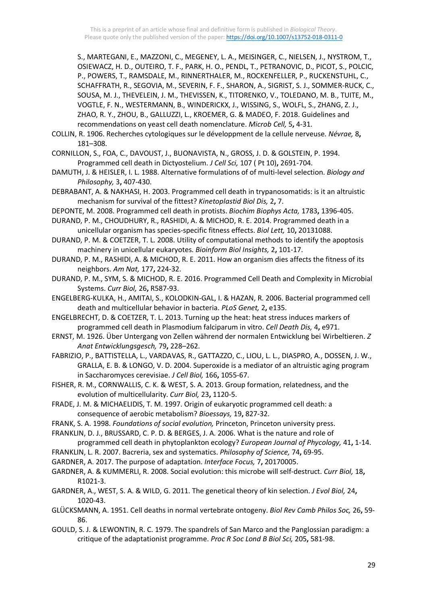S., MARTEGANI, E., MAZZONI, C., MEGENEY, L. A., MEISINGER, C., NIELSEN, J., NYSTROM, T., OSIEWACZ, H. D., OUTEIRO, T. F., PARK, H. O., PENDL, T., PETRANOVIC, D., PICOT, S., POLCIC, P., POWERS, T., RAMSDALE, M., RINNERTHALER, M., ROCKENFELLER, P., RUCKENSTUHL, C., SCHAFFRATH, R., SEGOVIA, M., SEVERIN, F. F., SHARON, A., SIGRIST, S. J., SOMMER-RUCK, C., SOUSA, M. J., THEVELEIN, J. M., THEVISSEN, K., TITORENKO, V., TOLEDANO, M. B., TUITE, M., VOGTLE, F. N., WESTERMANN, B., WINDERICKX, J., WISSING, S., WOLFL, S., ZHANG, Z. J., ZHAO, R. Y., ZHOU, B., GALLUZZI, L., KROEMER, G. & MADEO, F. 2018. Guidelines and recommendations on yeast cell death nomenclature. *Microb Cell,* 5**,** 4-31.

- COLLIN, R. 1906. Recherches cytologiques sur le développment de la cellule nerveuse. *Névrae,* 8**,** 181–308.
- CORNILLON, S., FOA, C., DAVOUST, J., BUONAVISTA, N., GROSS, J. D. & GOLSTEIN, P. 1994. Programmed cell death in Dictyostelium. *J Cell Sci,* 107 ( Pt 10)**,** 2691-704.
- DAMUTH, J. & HEISLER, I. L. 1988. Alternative formulations of of multi-level selection. *Biology and Philosophy,* 3**,** 407-430.
- DEBRABANT, A. & NAKHASI, H. 2003. Programmed cell death in trypanosomatids: is it an altruistic mechanism for survival of the fittest? *Kinetoplastid Biol Dis,* 2**,** 7.
- DEPONTE, M. 2008. Programmed cell death in protists. *Biochim Biophys Acta,* 1783**,** 1396-405.
- DURAND, P. M., CHOUDHURY, R., RASHIDI, A. & MICHOD, R. E. 2014. Programmed death in a unicellular organism has species-specific fitness effects. *Biol Lett,* 10**,** 20131088.
- DURAND, P. M. & COETZER, T. L. 2008. Utility of computational methods to identify the apoptosis machinery in unicellular eukaryotes. *Bioinform Biol Insights,* 2**,** 101-17.
- DURAND, P. M., RASHIDI, A. & MICHOD, R. E. 2011. How an organism dies affects the fitness of its neighbors. *Am Nat,* 177**,** 224-32.
- DURAND, P. M., SYM, S. & MICHOD, R. E. 2016. Programmed Cell Death and Complexity in Microbial Systems. *Curr Biol,* 26**,** R587-93.
- ENGELBERG-KULKA, H., AMITAI, S., KOLODKIN-GAL, I. & HAZAN, R. 2006. Bacterial programmed cell death and multicellular behavior in bacteria. *PLoS Genet,* 2**,** e135.
- ENGELBRECHT, D. & COETZER, T. L. 2013. Turning up the heat: heat stress induces markers of programmed cell death in Plasmodium falciparum in vitro. *Cell Death Dis,* 4**,** e971.
- ERNST, M. 1926. Über Untergang von Zellen während der normalen Entwicklung bei Wirbeltieren. *Z Anat Entwicklungsgesch,* 79**,** 228–262.
- FABRIZIO, P., BATTISTELLA, L., VARDAVAS, R., GATTAZZO, C., LIOU, L. L., DIASPRO, A., DOSSEN, J. W., GRALLA, E. B. & LONGO, V. D. 2004. Superoxide is a mediator of an altruistic aging program in Saccharomyces cerevisiae. *J Cell Biol,* 166**,** 1055-67.
- FISHER, R. M., CORNWALLIS, C. K. & WEST, S. A. 2013. Group formation, relatedness, and the evolution of multicellularity. *Curr Biol,* 23**,** 1120-5.
- FRADE, J. M. & MICHAELIDIS, T. M. 1997. Origin of eukaryotic programmed cell death: a consequence of aerobic metabolism? *Bioessays,* 19**,** 827-32.
- FRANK, S. A. 1998. *Foundations of social evolution,* Princeton, Princeton university press.
- FRANKLIN, D. J., BRUSSARD, C. P. D. & BERGES, J. A. 2006. What is the nature and role of
- programmed cell death in phytoplankton ecology? *European Journal of Phycology,* 41**,** 1-14.
- FRANKLIN, L. R. 2007. Bacreria, sex and systematics. *Philosophy of Science,* 74**,** 69-95.
- GARDNER, A. 2017. The purpose of adaptation. *Interface Focus,* 7**,** 20170005.
- GARDNER, A. & KUMMERLI, R. 2008. Social evolution: this microbe will self-destruct. *Curr Biol,* 18**,** R1021-3.
- GARDNER, A., WEST, S. A. & WILD, G. 2011. The genetical theory of kin selection. *J Evol Biol,* 24**,** 1020-43.
- GLÜCKSMANN, A. 1951. Cell deaths in normal vertebrate ontogeny. *Biol Rev Camb Philos Soc,* 26**,** 59- 86.
- GOULD, S. J. & LEWONTIN, R. C. 1979. The spandrels of San Marco and the Panglossian paradigm: a critique of the adaptationist programme. *Proc R Soc Lond B Biol Sci,* 205**,** 581-98.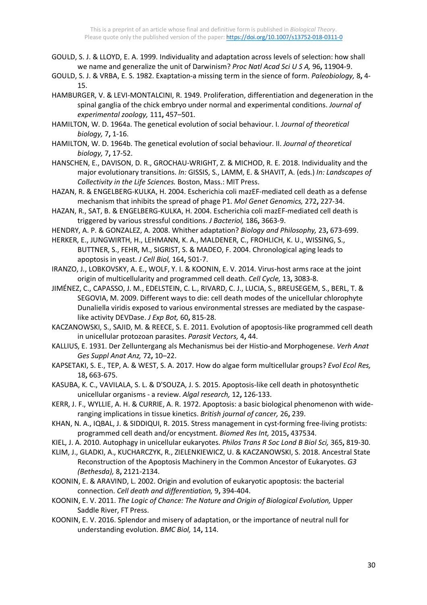- GOULD, S. J. & LLOYD, E. A. 1999. Individuality and adaptation across levels of selection: how shall we name and generalize the unit of Darwinism? *Proc Natl Acad Sci U S A,* 96**,** 11904-9.
- GOULD, S. J. & VRBA, E. S. 1982. Exaptation-a missing term in the sience of form. *Paleobiology,* 8**,** 4- 15.
- HAMBURGER, V. & LEVI-MONTALCINI, R. 1949. Proliferation, differentiation and degeneration in the spinal ganglia of the chick embryo under normal and experimental conditions. *Journal of experimental zoology,* 111**,** 457–501.
- HAMILTON, W. D. 1964a. The genetical evolution of social behaviour. I. *Journal of theoretical biology,* 7**,** 1-16.
- HAMILTON, W. D. 1964b. The genetical evolution of social behaviour. II. *Journal of theoretical biology,* 7**,** 17-52.
- HANSCHEN, E., DAVISON, D. R., GROCHAU-WRIGHT, Z. & MICHOD, R. E. 2018. Individuality and the major evolutionary transitions. *In:* GISSIS, S., LAMM, E. & SHAVIT, A. (eds.) *In: Landscapes of Collectivity in the Life Sciences.* Boston, Mass.: MIT Press.
- HAZAN, R. & ENGELBERG-KULKA, H. 2004. Escherichia coli mazEF-mediated cell death as a defense mechanism that inhibits the spread of phage P1. *Mol Genet Genomics,* 272**,** 227-34.
- HAZAN, R., SAT, B. & ENGELBERG-KULKA, H. 2004. Escherichia coli mazEF-mediated cell death is triggered by various stressful conditions. *J Bacteriol,* 186**,** 3663-9.
- HENDRY, A. P. & GONZALEZ, A. 2008. Whither adaptation? *Biology and Philosophy,* 23**,** 673-699.
- HERKER, E., JUNGWIRTH, H., LEHMANN, K. A., MALDENER, C., FROHLICH, K. U., WISSING, S., BUTTNER, S., FEHR, M., SIGRIST, S. & MADEO, F. 2004. Chronological aging leads to apoptosis in yeast. *J Cell Biol,* 164**,** 501-7.
- IRANZO, J., LOBKOVSKY, A. E., WOLF, Y. I. & KOONIN, E. V. 2014. Virus-host arms race at the joint origin of multicellularity and programmed cell death. *Cell Cycle,* 13**,** 3083-8.
- JIMÉNEZ, C., CAPASSO, J. M., EDELSTEIN, C. L., RIVARD, C. J., LUCIA, S., BREUSEGEM, S., BERL, T. & SEGOVIA, M. 2009. Different ways to die: cell death modes of the unicellular chlorophyte Dunaliella viridis exposed to various environmental stresses are mediated by the caspaselike activity DEVDase. *J Exp Bot,* 60**,** 815-28.
- KACZANOWSKI, S., SAJID, M. & REECE, S. E. 2011. Evolution of apoptosis-like programmed cell death in unicellular protozoan parasites. *Parasit Vectors,* 4**,** 44.
- KALLIUS, E. 1931. Der Zelluntergang als Mechanismus bei der Histio-and Morphogenese. *Verh Anat Ges Suppl Anat Anz,* 72**,** 10–22.
- KAPSETAKI, S. E., TEP, A. & WEST, S. A. 2017. How do algae form multicellular groups? *Evol Ecol Res,* 18**,** 663-675.
- KASUBA, K. C., VAVILALA, S. L. & D'SOUZA, J. S. 2015. Apoptosis-like cell death in photosynthetic unicellular organisms - a review. *Algal research,* 12**,** 126-133.
- KERR, J. F., WYLLIE, A. H. & CURRIE, A. R. 1972. Apoptosis: a basic biological phenomenon with wideranging implications in tissue kinetics. *British journal of cancer,* 26**,** 239.
- KHAN, N. A., IQBAL, J. & SIDDIQUI, R. 2015. Stress management in cyst-forming free-living protists: programmed cell death and/or encystment. *Biomed Res Int,* 2015**,** 437534.
- KIEL, J. A. 2010. Autophagy in unicellular eukaryotes. *Philos Trans R Soc Lond B Biol Sci,* 365**,** 819-30.
- KLIM, J., GLADKI, A., KUCHARCZYK, R., ZIELENKIEWICZ, U. & KACZANOWSKI, S. 2018. Ancestral State Reconstruction of the Apoptosis Machinery in the Common Ancestor of Eukaryotes. *G3 (Bethesda),* 8**,** 2121-2134.
- KOONIN, E. & ARAVIND, L. 2002. Origin and evolution of eukaryotic apoptosis: the bacterial connection. *Cell death and differentiation,* 9**,** 394-404.
- KOONIN, E. V. 2011. *The Logic of Chance: The Nature and Origin of Biological Evolution,* Upper Saddle River, FT Press.
- KOONIN, E. V. 2016. Splendor and misery of adaptation, or the importance of neutral null for understanding evolution. *BMC Biol,* 14**,** 114.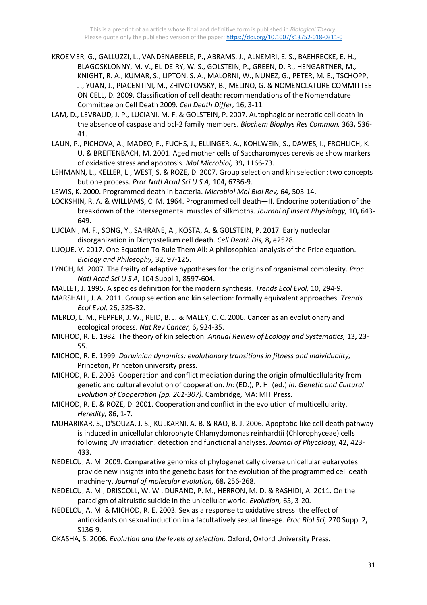KROEMER, G., GALLUZZI, L., VANDENABEELE, P., ABRAMS, J., ALNEMRI, E. S., BAEHRECKE, E. H., BLAGOSKLONNY, M. V., EL-DEIRY, W. S., GOLSTEIN, P., GREEN, D. R., HENGARTNER, M., KNIGHT, R. A., KUMAR, S., LIPTON, S. A., MALORNI, W., NUNEZ, G., PETER, M. E., TSCHOPP, J., YUAN, J., PIACENTINI, M., ZHIVOTOVSKY, B., MELINO, G. & NOMENCLATURE COMMITTEE ON CELL, D. 2009. Classification of cell death: recommendations of the Nomenclature Committee on Cell Death 2009. *Cell Death Differ,* 16**,** 3-11.

LAM, D., LEVRAUD, J. P., LUCIANI, M. F. & GOLSTEIN, P. 2007. Autophagic or necrotic cell death in the absence of caspase and bcl-2 family members. *Biochem Biophys Res Commun,* 363**,** 536- 41.

LAUN, P., PICHOVA, A., MADEO, F., FUCHS, J., ELLINGER, A., KOHLWEIN, S., DAWES, I., FROHLICH, K. U. & BREITENBACH, M. 2001. Aged mother cells of Saccharomyces cerevisiae show markers of oxidative stress and apoptosis. *Mol Microbiol,* 39**,** 1166-73.

LEHMANN, L., KELLER, L., WEST, S. & ROZE, D. 2007. Group selection and kin selection: two concepts but one process. *Proc Natl Acad Sci U S A,* 104**,** 6736-9.

LEWIS, K. 2000. Programmed death in bacteria. *Microbiol Mol Biol Rev,* 64**,** 503-14.

LOCKSHIN, R. A. & WILLIAMS, C. M. 1964. Programmed cell death—II. Endocrine potentiation of the breakdown of the intersegmental muscles of silkmoths. *Journal of Insect Physiology,* 10**,** 643- 649.

LUCIANI, M. F., SONG, Y., SAHRANE, A., KOSTA, A. & GOLSTEIN, P. 2017. Early nucleolar disorganization in Dictyostelium cell death. *Cell Death Dis,* 8**,** e2528.

LUQUE, V. 2017. One Equation To Rule Them All: A philosophical analysis of the Price equation. *Biology and Philosophy,* 32**,** 97-125.

LYNCH, M. 2007. The frailty of adaptive hypotheses for the origins of organismal complexity. *Proc Natl Acad Sci U S A,* 104 Suppl 1**,** 8597-604.

MALLET, J. 1995. A species definition for the modern synthesis. *Trends Ecol Evol,* 10**,** 294-9.

MARSHALL, J. A. 2011. Group selection and kin selection: formally equivalent approaches. *Trends Ecol Evol,* 26**,** 325-32.

MERLO, L. M., PEPPER, J. W., REID, B. J. & MALEY, C. C. 2006. Cancer as an evolutionary and ecological process. *Nat Rev Cancer,* 6**,** 924-35.

MICHOD, R. E. 1982. The theory of kin selection. *Annual Review of Ecology and Systematics,* 13**,** 23- 55.

MICHOD, R. E. 1999. *Darwinian dynamics: evolutionary transitions in fitness and individuality,*  Princeton, Princeton university press.

MICHOD, R. E. 2003. Cooperation and conflict mediation during the origin ofmulticcllularity from genetic and cultural evolution of cooperation. *In:* (ED.), P. H. (ed.) *In: Genetic and Cultural Evolution of Cooperation (pp. 261-307).* Cambridge, MA: MIT Press.

MICHOD, R. E. & ROZE, D. 2001. Cooperation and conflict in the evolution of multicellularity. *Heredity,* 86**,** 1-7.

MOHARIKAR, S., D'SOUZA, J. S., KULKARNI, A. B. & RAO, B. J. 2006. Apoptotic-like cell death pathway is induced in unicellular chlorophyte Chlamydomonas reinhardtii (Chlorophyceae) cells following UV irradiation: detection and functional analyses. *Journal of Phycology,* 42**,** 423- 433.

NEDELCU, A. M. 2009. Comparative genomics of phylogenetically diverse unicellular eukaryotes provide new insights into the genetic basis for the evolution of the programmed cell death machinery. *Journal of molecular evolution,* 68**,** 256-268.

NEDELCU, A. M., DRISCOLL, W. W., DURAND, P. M., HERRON, M. D. & RASHIDI, A. 2011. On the paradigm of altruistic suicide in the unicellular world. *Evolution,* 65**,** 3-20.

NEDELCU, A. M. & MICHOD, R. E. 2003. Sex as a response to oxidative stress: the effect of antioxidants on sexual induction in a facultatively sexual lineage. *Proc Biol Sci,* 270 Suppl 2**,** S136-9.

OKASHA, S. 2006. *Evolution and the levels of selection,* Oxford, Oxford University Press.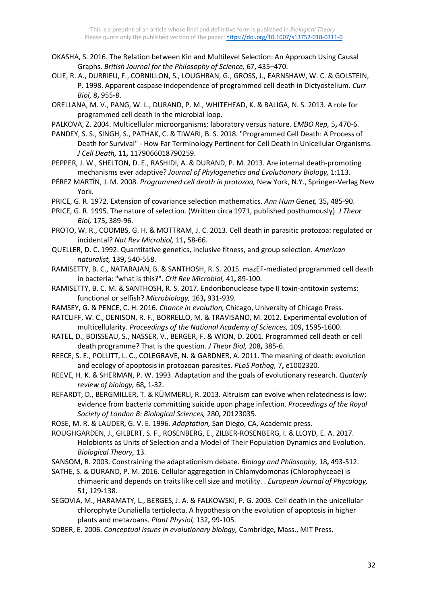- OKASHA, S. 2016. The Relation between Kin and Multilevel Selection: An Approach Using Causal Graphs. *British Journal for the Philosophy of Science,* 67**,** 435–470.
- OLIE, R. A., DURRIEU, F., CORNILLON, S., LOUGHRAN, G., GROSS, J., EARNSHAW, W. C. & GOLSTEIN, P. 1998. Apparent caspase independence of programmed cell death in Dictyostelium. *Curr Biol,* 8**,** 955-8.

ORELLANA, M. V., PANG, W. L., DURAND, P. M., WHITEHEAD, K. & BALIGA, N. S. 2013. A role for programmed cell death in the microbial loop.

- PALKOVA, Z. 2004. Multicellular microorganisms: laboratory versus nature. *EMBO Rep,* 5**,** 470-6.
- PANDEY, S. S., SINGH, S., PATHAK, C. & TIWARI, B. S. 2018. "Programmed Cell Death: A Process of Death for Survival" - How Far Terminology Pertinent for Cell Death in Unicellular Organisms. *J Cell Death,* 11**,** 1179066018790259.

PEPPER, J. W., SHELTON, D. E., RASHIDI, A. & DURAND, P. M. 2013. Are internal death-promoting mechanisms ever adaptive? *Journal of Phylogenetics and Evolutionary Biology,* 1:113.

- PÉREZ MARTÍN, J. M. 2008. *Programmed cell death in protozoa,* New York, N.Y., Springer-Verlag New York.
- PRICE, G. R. 1972. Extension of covariance selection mathematics. *Ann Hum Genet,* 35**,** 485-90.
- PRICE, G. R. 1995. The nature of selection. (Written circa 1971, published posthumously). *J Theor Biol,* 175**,** 389-96.
- PROTO, W. R., COOMBS, G. H. & MOTTRAM, J. C. 2013. Cell death in parasitic protozoa: regulated or incidental? *Nat Rev Microbiol,* 11**,** 58-66.
- QUELLER, D. C. 1992. Quantitative genetics, inclusive fitness, and group selection. *American naturalist,* 139**,** 540-558.
- RAMISETTY, B. C., NATARAJAN, B. & SANTHOSH, R. S. 2015. mazEF-mediated programmed cell death in bacteria: "what is this?". *Crit Rev Microbiol,* 41**,** 89-100.
- RAMISETTY, B. C. M. & SANTHOSH, R. S. 2017. Endoribonuclease type II toxin-antitoxin systems: functional or selfish? *Microbiology,* 163**,** 931-939.
- RAMSEY, G. & PENCE, C. H. 2016. *Chance in evolution,* Chicago, University of Chicago Press.
- RATCLIFF, W. C., DENISON, R. F., BORRELLO, M. & TRAVISANO, M. 2012. Experimental evolution of multicellularity. *Proceedings of the National Academy of Sciences,* 109**,** 1595-1600.
- RATEL, D., BOISSEAU, S., NASSER, V., BERGER, F. & WION, D. 2001. Programmed cell death or cell death programme? That is the question. *J Theor Biol,* 208**,** 385-6.
- REECE, S. E., POLLITT, L. C., COLEGRAVE, N. & GARDNER, A. 2011. The meaning of death: evolution and ecology of apoptosis in protozoan parasites. *PLoS Pathog,* 7**,** e1002320.
- REEVE, H. K. & SHERMAN, P. W. 1993. Adaptation and the goals of evolutionary research. *Quaterly review of biology,* 68**,** 1-32.
- REFARDT, D., BERGMILLER, T. & KÜMMERLI, R. 2013. Altruism can evolve when relatedness is low: evidence from bacteria committing suicide upon phage infection. *Proceedings of the Royal Society of London B: Biological Sciences,* 280**,** 20123035.
- ROSE, M. R. & LAUDER, G. V. E. 1996. *Adaptation,* San Diego, CA, Academic press.
- ROUGHGARDEN, J., GILBERT, S. F., ROSENBERG, E., ZILBER-ROSENBERG, I. & LLOYD, E. A. 2017. Holobionts as Units of Selection and a Model of Their Population Dynamics and Evolution. *Biological Theory,* 13.
- SANSOM, R. 2003. Constraining the adaptationism debate. *Biology and Philosophy,* 18**,** 493-512.
- SATHE, S. & DURAND, P. M. 2016. Cellular aggregation in Chlamydomonas (Chlorophyceae) is chimaeric and depends on traits like cell size and motility. . *European Journal of Phycology,* 51**,** 129-138.
- SEGOVIA, M., HARAMATY, L., BERGES, J. A. & FALKOWSKI, P. G. 2003. Cell death in the unicellular chlorophyte Dunaliella tertiolecta. A hypothesis on the evolution of apoptosis in higher plants and metazoans. *Plant Physiol,* 132**,** 99-105.
- SOBER, E. 2006. *Conceptual issues in evolutionary biology,* Cambridge, Mass., MIT Press.